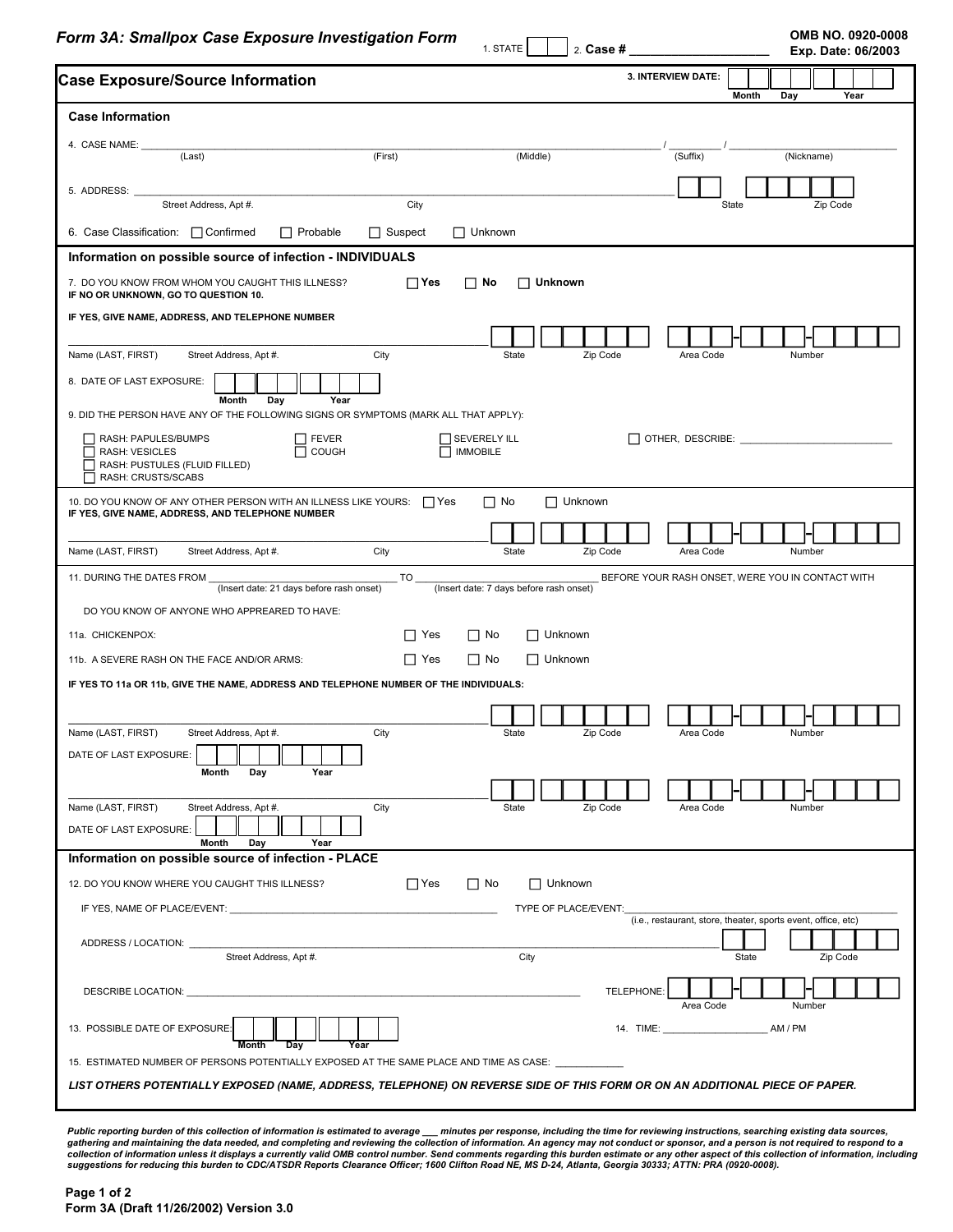**Form 3A: Smallpox Case Exposure Investigation Form COMB NO. 0920-0008 OMB NO. 0920-0008** 

1. STATE  $\Box$   $\Box$  Case #

**Exp. Date: 06/2003**

| <b>Case Exposure/Source Information</b>                                                                                                        |                |                                         | 3. INTERVIEW DATE:<br>Month<br>Year                           |
|------------------------------------------------------------------------------------------------------------------------------------------------|----------------|-----------------------------------------|---------------------------------------------------------------|
| <b>Case Information</b>                                                                                                                        |                |                                         | Day                                                           |
|                                                                                                                                                |                |                                         |                                                               |
| 4. CASE NAME:<br>(Last)                                                                                                                        | (First)        | (Middle)                                | (Suffix)<br>(Nickname)                                        |
| 5. ADDRESS: _                                                                                                                                  |                |                                         |                                                               |
| Street Address, Apt #.                                                                                                                         | City           |                                         | Zip Code<br>State                                             |
| 6. Case Classification: □ Confirmed<br>$\Box$ Probable                                                                                         | $\Box$ Suspect | $\Box$ Unknown                          |                                                               |
| Information on possible source of infection - INDIVIDUALS                                                                                      |                |                                         |                                                               |
| 7. DO YOU KNOW FROM WHOM YOU CAUGHT THIS ILLNESS?<br>IF NO OR UNKNOWN, GO TO QUESTION 10.                                                      | $\Box$ Yes     | $\Box$ No<br>$\Box$ Unknown             |                                                               |
| IF YES, GIVE NAME, ADDRESS, AND TELEPHONE NUMBER                                                                                               |                |                                         |                                                               |
|                                                                                                                                                |                |                                         |                                                               |
| Name (LAST, FIRST)<br>Street Address, Apt #.                                                                                                   | City           | State                                   | Zip Code<br>Area Code<br>Number                               |
| 8. DATE OF LAST EXPOSURE:<br>Month<br>Year<br>Day                                                                                              |                |                                         |                                                               |
| 9. DID THE PERSON HAVE ANY OF THE FOLLOWING SIGNS OR SYMPTOMS (MARK ALL THAT APPLY):                                                           |                |                                         |                                                               |
| RASH: PAPULES/BUMPS<br>$\Box$ FEVER<br>$\overline{\Box}$ соисн<br><b>RASH: VESICLES</b><br>RASH: PUSTULES (FLUID FILLED)<br>RASH: CRUSTS/SCABS |                | SEVERELY ILL<br><b>IMMOBILE</b>         | OTHER, DESCRIBE: ________________                             |
| 10. DO YOU KNOW OF ANY OTHER PERSON WITH AN ILLNESS LIKE YOURS: 1985                                                                           |                | $\Box$ Unknown<br>$\Box$ No             |                                                               |
| IF YES, GIVE NAME, ADDRESS, AND TELEPHONE NUMBER                                                                                               |                |                                         |                                                               |
| Name (LAST, FIRST)<br>Street Address, Apt #.                                                                                                   | City           | State                                   | Zip Code<br>Area Code<br>Number                               |
| 11. DURING THE DATES FROM<br>(Insert date: 21 days before rash onset)                                                                          | $\_$ TO $\_$   | (Insert date: 7 days before rash onset) | BEFORE YOUR RASH ONSET, WERE YOU IN CONTACT WITH              |
| DO YOU KNOW OF ANYONE WHO APPREARED TO HAVE:                                                                                                   |                |                                         |                                                               |
| 11a. CHICKENPOX:                                                                                                                               | $\Box$ Yes     | $\Box$ Unknown<br>$\Box$ No             |                                                               |
| 11b. A SEVERE RASH ON THE FACE AND/OR ARMS:                                                                                                    | $\Box$ Yes     | $\Box$ Unknown<br>$\Box$ No             |                                                               |
| IF YES TO 11a OR 11b, GIVE THE NAME, ADDRESS AND TELEPHONE NUMBER OF THE INDIVIDUALS:                                                          |                |                                         |                                                               |
|                                                                                                                                                |                |                                         |                                                               |
| Name (LAST, FIRST)<br>Street Address, Apt #.                                                                                                   | City           | State                                   | Zip Code<br>Area Code<br>Number                               |
| DATE OF LAST EXPOSURE:                                                                                                                         |                |                                         |                                                               |
| Year<br>Month<br>Day                                                                                                                           |                |                                         |                                                               |
| Name (LAST, FIRST)                                                                                                                             | City           |                                         | Zip Code<br>Number                                            |
| Street Address, Apt #.<br>DATE OF LAST EXPOSURE:<br>Month<br>Day<br>Year                                                                       |                | State                                   | Area Code                                                     |
| Information on possible source of infection - PLACE                                                                                            |                |                                         |                                                               |
| 12. DO YOU KNOW WHERE YOU CAUGHT THIS ILLNESS?                                                                                                 | $\Box$ Yes     | $\Box$ No<br>$\Box$ Unknown             |                                                               |
|                                                                                                                                                |                | TYPE OF PLACE/EVENT:                    |                                                               |
| ADDRESS / LOCATION:                                                                                                                            |                |                                         | (i.e., restaurant, store, theater, sports event, office, etc) |
| Street Address, Apt #.                                                                                                                         |                | City                                    | Zip Code<br>State                                             |
| DESCRIBE LOCATION: U                                                                                                                           |                |                                         | TELEPHONE:<br>Area Code<br>Number                             |
| 13. POSSIBLE DATE OF EXPOSURE:<br>Day<br>Month                                                                                                 | Year           |                                         | AM / PM                                                       |
|                                                                                                                                                |                |                                         |                                                               |
| LIST OTHERS POTENTIALLY EXPOSED (NAME, ADDRESS, TELEPHONE) ON REVERSE SIDE OF THIS FORM OR ON AN ADDITIONAL PIECE OF PAPER.                    |                |                                         |                                                               |

Public reporting burden of this collection of information is estimated to average \_\_\_ minutes per response, including the time for reviewing instructions, searching existing data sources,<br>gathering and maintaining the data *suggestions for reducing this burden to CDC/ATSDR Reports Clearance Officer; 1600 Clifton Road NE, MS D-24, Atlanta, Georgia 30333; ATTN: PRA (0920-0008).*